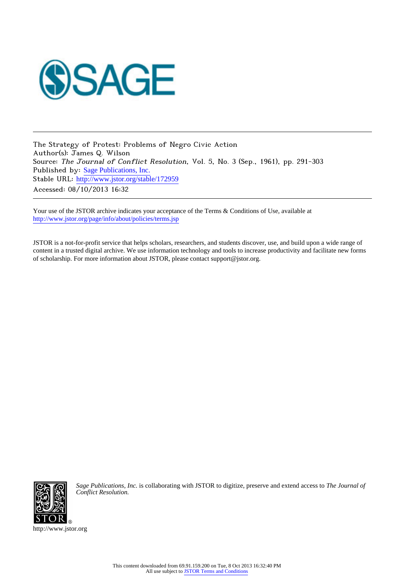

The Strategy of Protest: Problems of Negro Civic Action Author(s): James Q. Wilson Source: The Journal of Conflict Resolution, Vol. 5, No. 3 (Sep., 1961), pp. 291-303 Published by: [Sage Publications, Inc.](http://www.jstor.org/action/showPublisher?publisherCode=sage) Stable URL: http://www.jstor.org/stable/172959 Accessed: 08/10/2013 16:32

Your use of the JSTOR archive indicates your acceptance of the Terms & Conditions of Use, available at <http://www.jstor.org/page/info/about/policies/terms.jsp>

JSTOR is a not-for-profit service that helps scholars, researchers, and students discover, use, and build upon a wide range of content in a trusted digital archive. We use information technology and tools to increase productivity and facilitate new forms of scholarship. For more information about JSTOR, please contact support@jstor.org.



*Sage Publications, Inc.* is collaborating with JSTOR to digitize, preserve and extend access to *The Journal of Conflict Resolution.*

http://www.jstor.org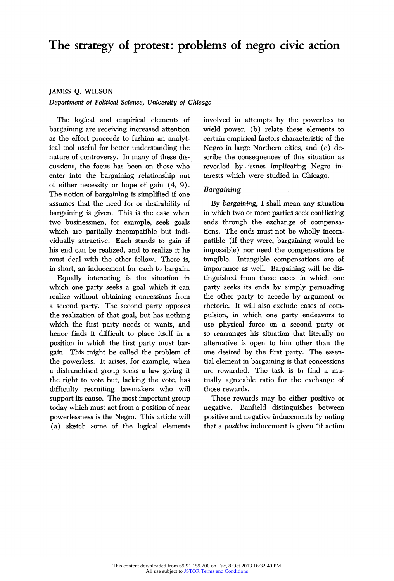# **The strategy of protest: problems of negro civic action**

## **JAMES Q. WILSON**

**Department of Political Science, University of Chicago** 

**The logical and empirical elements of bargaining are receiving increased attention as the effort proceeds to fashion an analytical tool useful for better understanding the nature of controversy. In many of these discussions, the focus has been on those who enter into the bargaining relationship out of either necessity or hope of gain (4, 9). The notion of bargaining is simplified if one assumes that the need for or desirability of bargaining is given. This is the case when two businessmen, for example, seek goals which are partially incompatible but individually attractive. Each stands to gain if his end can be realized, and to realize it he must deal with the other fellow. There is, in short, an inducement for each to bargain.** 

**Equally interesting is the situation in which one party seeks a goal which it can realize without obtaining concessions from a second party. The second party opposes the realization of that goal, but has nothing which the first party needs or wants, and hence finds it difficult to place itself in a position in which the first party must bargain. This might be called the problem of the powerless. It arises, for example, when a disfranchised group seeks a law giving it the right to vote but, lacking the vote, has difficulty recruiting lawmakers who will support its cause. The most important group today which must act from a position of near powerlessness is the Negro. This article will (a) sketch some of the logical elements**  **involved in attempts by the powerless to wield power, (b) relate these elements to certain empirical factors characteristic of the Negro in large Northern cities, and (c) describe the consequences of this situation as revealed by issues implicating Negro interests which were studied in Chicago.** 

# **Bargaining**

**By bargaining, I shall mean any situation in which two or more parties seek conflicting ends through the exchange of compensations. The ends must not be wholly incompatible (if they were, bargaining would be impossible) nor need the compensations be tangible. Intangible compensations are of importance as well. Bargaining will be distinguished from those cases in which one party seeks its ends by simply persuading the other party to accede by argument or rhetoric. It will also exclude cases of compulsion, in which one party endeavors to use physical force on a second party or so rearranges his situation that literally no alternative is open to him other than the one desired by the first party. The essential element in bargaining is that concessions are rewarded. The task is to find a mutually agreeable ratio for the exchange of those rewards.** 

**These rewards may be either positive or negative. Banfield distinguishes between positive and negative inducements by noting that a positive inducement is given "if action**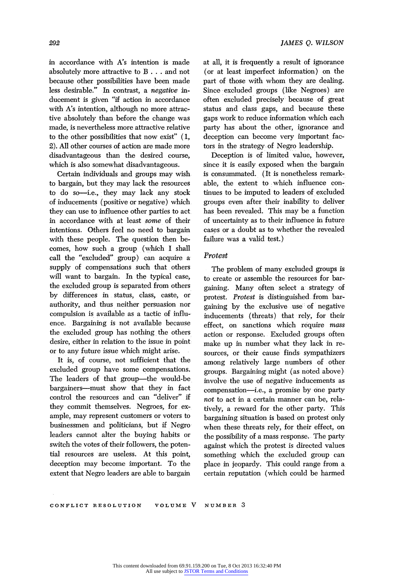**in accordance with A's intention is made absolutely more attractive to B ... and not because other possibilities have been made less desirable." In contrast, a negative inducement is given "if action in accordance with A's intention, although no more attractive absolutely than before the change was made, is nevertheless more attractive relative to the other possibilities that now exist" (1, 2). All other courses of action are made more disadvantageous than the desired course, which is also somewhat disadvantageous.** 

**Certain individuals and groups may wish to bargain, but they may lack the resources to do so-i.e., they may lack any stock of inducements (positive or negative) which they can use to influence other parties to act in accordance with at least some of their intentions. Others feel no need to bargain with these people. The question then becomes, how such a group (which I shall call the "excluded" group) can acquire a supply of compensations such that others will want to bargain. In the typical case, the excluded group is separated from others by differences in status, class, caste, or authority, and thus neither persuasion nor compulsion is available as a tactic of influence. Bargaining is not available because the excluded group has nothing the others desire, either in relation to the issue in point or to any future issue which might arise.** 

**It is, of course, not sufficient that the excluded group have some compensations.**  The leaders of that group—the would-be **bargainers-must show that they in fact control the resources and can "deliver" if they commit themselves. Negroes, for example, may represent customers or voters to businessmen and politicians, but if Negro leaders cannot alter the buying habits or switch the votes of their followers, the potential resources are useless. At this point, deception may become important. To the extent that Negro leaders are able to bargain** 

**at all, it is frequently a result of ignorance (or at least imperfect information) on the part of those with whom they are dealing. Since excluded groups (like Negroes) are often excluded precisely because of great status and class gaps, and because these gaps work to reduce information which each party has about the other, ignorance and deception can become very important factors in the strategy of Negro leadership.** 

**Deception is of limited value, however, since it is easily exposed when the bargain is consummated. (It is nonetheless remarkable, the extent to which influence continues to be imputed to leaders of excluded groups even after their inability to deliver has been revealed. This may be a function of uncertainty as to their influence in future cases or a doubt as to whether the revealed failure was a valid test.)** 

## **Protest**

**The problem of many excluded groups is to create or assemble the resources for bargaining. Many often select a strategy of protest. Protest is distinguished from bargaining by the exclusive use of negative inducements (threats) that rely, for their effect, on sanctions which require mass action or response. Excluded groups often make up in number what they lack in resources, or their cause finds sympathizers among relatively large numbers of other groups. Bargaining might (as noted above) involve the use of negative inducements as compensation--i.e., a promise by one party not to act in a certain manner can be, relatively, a reward for the other party. This bargaining situation is based on protest only when these threats rely, for their effect, on the possibility of a mass response. The party against which the protest is directed values something which the excluded group can place in jeopardy. This could range from a certain reputation (which could be harmed**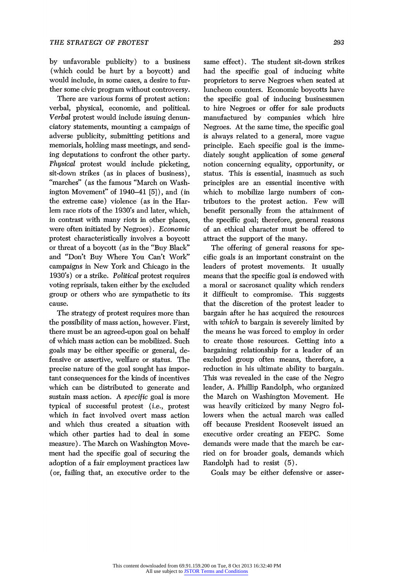**by unfavorable publicity) to a business (which could be hurt by a boycott) and would include, in some cases, a desire to further some civic program without controversy.** 

**There are various forms of protest action: verbal, physical, economic, and political. Verbal protest would include issuing denunciatory statements, mounting a campaign of adverse publicity, submitting petitions and memorials, holding mass meetings, and sending deputations to confront the other party. Physical protest would include picketing, sit-down strikes (as in places of business), "marches" (as the famous "March on Washington Movement" of 1940-41 [5]), and (in the extreme case) violence (as in the Harlem race riots of the 1930's and later, which, in contrast with many riots in other places, were often initiated by Negroes). Economic protest characteristically involves a boycott or threat of a boycott (as in the "Buy Black" and "Don't Buy Where You Can't Work" campaigns in New York and Chicago in the 1930's) or a strike. Political protest requires voting reprisals, taken either by the excluded group or others who are sympathetic to its cause.** 

**The strategy of protest requires more than the possibility of mass action, however. First, there must be an agreed-upon goal on behalf of which mass action can be mobilized. Such goals may be either specific or general, defensive or assertive, welfare or status. The precise nature of the goal sought has important consequences for the kinds of incentives which can be distributed to generate and sustain mass action. A specific goal is more typical of successful protest (i.e., protest which in fact involved overt mass action and which thus created a situation with which other parties had to deal in some measure). The March on Washington Movement had the specific goal of securing the adoption of a fair employment practices law (or, failing that, an executive order to the** 

**same effect). The student sit-down strikes had the specific goal of inducing white proprietors to serve Negroes when seated at luncheon counters. Economic boycotts have the specific goal of inducing businessmen to hire Negroes or offer for sale products manufactured by companies which hire Negroes. At the same time, the specific goal is always related to a general, more vague principle. Each specific goal is the immediately sought application of some general notion concerning equality, opportunity, or status. This is essential, inasmuch as such principles -are an essential incentive with which to mobilize large numbers of contributors to the protest action. Few will benefit personally from the attainment of the specific goal; therefore, general reasons of an ethical character must be offered to attract the support of the many.** 

**The offering of general reasons for specific goals is an important constraint on the leaders of protest movements. It usually means that the specific goal is endowed with a moral or sacrosanct quality which renders it difficult to compromise. This suggests that the discretion of the protest leader to bargain after he has acquired the resources with which to bargain is severely limited by the means he was forced to employ in order to create those resources. Getting into a bargaining relationship for a leader of an excluded group often means, therefore, a reduction in his ultimate ability to bargain. This was revealed in the case of the Negro leader, A. Phillip Randolph, who organized the March on Washington Movement. He was heavily criticized by many Negro followers when the actual march was called off because President Roosevelt issued an executive order creating an FEPC. Some demands were made that the march be carried on for broader goals, demands which Randolph had to resist (5).** 

**Goals may be either defensive or asser-**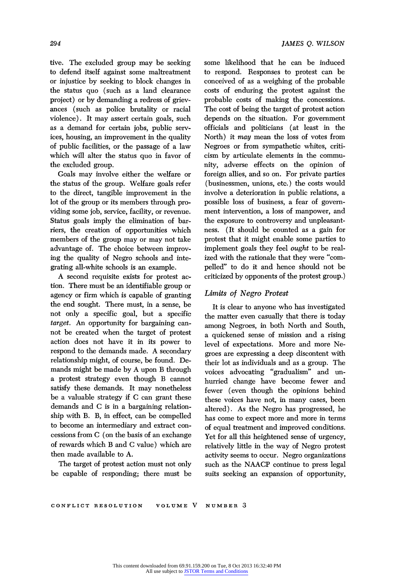**tive. The excluded group may be seeking to defend itself against some maltreatment or injustice by seeking to block changes in the status quo (such as a land clearance project) or by demanding a redress of grievances (such as police brutality or racial violence). It may assert certain goals, such as a demand for certain jobs, public services, housing, an improvement in the quality of public facilities, or the passage of a law which will alter the status quo in favor of the excluded group.** 

**Goals may involve either the welfare or the status of the group. Welfare goals refer to the direct, tangible improvement in the lot of the group or its members through providing some job, service, facility, or revenue. Status goals imply the elimination of barriers, the creation of opportunities which members of the group may or may not take advantage of. The choice between improving the quality of Negro schools and integrating all-white schools is an example.** 

**A second requisite exists for protest action. There must be an identifiable group or agency or firm which is capable of granting the end sought. There must, in a sense, be not only a specific goal, but a specific target. An opportunity for bargaining cannot be created when the target of protest action does not have it in its power to respond to the demands made. A secondary relationship might, of course, be found. Demands might be made by A upon B through a protest strategy even though B cannot satisfy these demands. It may nonetheless be a valuable strategy if C can grant these demands and C is in a bargaining relationship with B. B, in effect, can be compelled to become an intermediary and extract concessions from C (on the basis of an exchange of rewards which B and C value) which are then made available to A.** 

**The target of protest action must not only be capable of responding; there must be**  **some likelihood that he can be induced to respond. Responses to protest can be conceived of as a weighing of the probable costs of enduring the protest against the probable costs of making the concessions. The cost of being the target of protest action depends on the situation. For government officials and politicians (at least in the North) it may mean the loss of votes from Negroes or from sympathetic whites, criticism by articulate elements in the community, adverse effects on the opinion of foreign allies, and so on. For private parties (businessmen, unions, etc.) the costs would involve a deterioration in public relations, a possible loss of business, a fear of government intervention, a loss of manpower, and the exposure to controversy and unpleasantness. (It should be counted as a gain for protest that it might enable some parties to implement goals they feel ought to be realized with the rationale that they were "compelled" to do it and hence should not be criticized by opponents of the protest group.)** 

# **Limits of Negro Protest**

**It is clear to anyone who has investigated the matter even casually that there is today among Negroes, in both North and South, a quickened sense of mission and a rising level of expectations. More and more Negroes are expressing a deep discontent with their lot as individuals and as a group. The voices advocating "gradualism" and unhurried change have become fewer and fewer (even though the opinions behind these voices have not, in many cases, been altered). As the Negro has progressed, he has come to expect more and more in terms of equal treatment and improved conditions. Yet for all this heightened sense of urgency, relatively little in the way of Negro protest activity seems to occur. Negro organizations such as the NAACP continue to press legal suits seeking an expansion of opportunity,**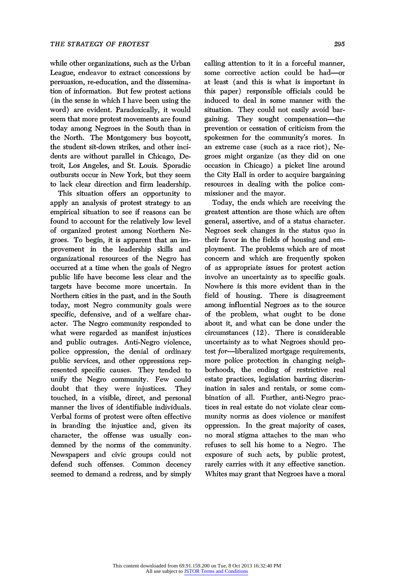**while other organizations, such as the Urban League, endeavor to extract concessions by persuasion, re-education, and the dissemination of information. But few protest actions (in the sense in which I have been using the word) are evident. Paradoxically, it would seem that more protest movements are found today among Negroes in the South than in the North. The Montgomery bus boycott, the student sit-down strikes, and other incidents are without parallel in Chicago, Detroit, Los Angeles, and St. Louis. Sporadic outbursts occur in New York, but they seem to lack clear direction and firm leadership.** 

**This situation offers an opportunity to apply an analysis of protest strategy to an empirical situation to see if reasons can be found to account for the relatively low level of organized protest among Northern Negroes. To begin, it is apparent that an improvement in the leadership skills and organizational resources of the Negro has occurred at a time when the goals of Negro public life have become less clear and the targets have become more uncertain. In Northern cities in the past, and in the South today, most Negro community goals were specific, defensive, and of a welfare character. The Negro community responded to what were regarded as manifest injustices and public outrages. Anti-Negro violence, police oppression, the denial of ordinary public services, and other oppressions represented specific causes. They tended to unify the Negro community. Few could doubt that they were injustices. They touched, in a visible, direct, and personal manner the lives of identifiable individuals. Verbal forms of protest were often effective in branding the injustice and, given its character, the offense was usually condemned by the norms of the community. Newspapers and civic groups could not defend such offenses. Common decency seemed to demand a redress, and by simply**  **calling attention to it in a forceful manner,**  some corrective action could be had-or **at least (and this is what is important in this paper) responsible officials could be induced to deal in some manner with the situation. They could not easily avoid bargaining. They sought compensation-the prevention or cessation of criticism from the spokesmen for the community's mores. In an extreme case (such as a race riot), Negroes might organize (as they did on one occasion in Chicago) a picket line around the City Hall in order to acquire bargaining resources in dealing with the police commissioner and the mayor.** 

**Today, the ends which are receiving the greatest attention are those which are often general, assertive, and of a status character. Negroes seek changes in the status quo in their favor in the fields of housing and employment. The problems which are of most concern and which are frequently spoken of as appropriate issues for protest action involve an uncertainty as to specific goals. Nowhere is this more evident than in the field of housing. There is disagreement among influential Negroes as to the source of the problem, what ought to be done about it, and what can be done under the circumstances (12). There is considerable uncertainty as to what Negroes should protest for-liberalized mortgage requirements, more police protection in changing neighborhoods, the ending of restrictive real estate practices, legislation barring discrimination in sales and rentals, or some combination of all. Further, anti-Negro practices in real estate do not violate clear community norms as does violence or manifest oppression. In the great majority of cases, no moral stigma attaches to the man who refuses to sell his home to a Negro. The exposure of such acts, by public protest, rarely carries with it any effective sanction. Whites may grant that Negroes have a moral**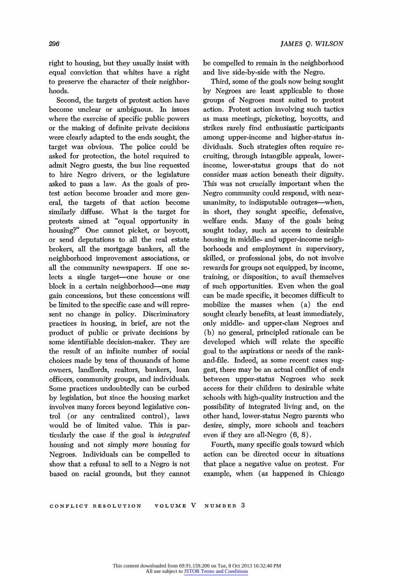**right to housing, but they usually insist with equal conviction that whites have a right to preserve the character of their neighborhoods.** 

**Second, the targets of protest action have become unclear or ambiguous. In issues where the exercise of specific public powers or the making of definite private decisions were clearly adapted to the ends sought, the target was obvious. The police could be asked for protection, the hotel required to admit Negro guests, the bus line requested to hire Negro drivers, or the legislature asked to pass a law. As the goals of protest action become broader and more general, the targets of that action become similarly diffuse. What is the target for protests aimed at "equal opportunity in housing?" One cannot picket, or boycott, or send deputations to all the real estate brokers, all the mortgage bankers, all the neighborhood improvement associations, or all the community newspapers. If one se**lects a single target-one house or one **block in a certain neighborhood-one may gain concessions, but these concessions will be limited to the specific case and will represent no change in policy. Discriminatory practices in housing, in brief, are not the product of public or private decisions by some identifiable decision-maker. They are the result of an infinite number of social choices made by tens of thousands of home owners, landlords, realtors, bankers, loan officers, community groups, and individuals. Some practices undoubtedly can be curbed by legislation, but since the housing market involves many forces beyond legislative control (or any centralized control), laws would be of limited value. This is particularly the case if the goal is integrated housing and not simply more housing for Negroes. Individuals can be compelled to show that a refusal to sell to a Negro is not based on racial grounds, but they cannot**  **be compelled to remain in the neighborhood and live side-by-side with the Negro.** 

**Third, some of the goals now being sought by Negroes are, least applicable to those groups of Negroes most suited to protest action. Protest action involving such tactics as mass meetings, picketing, boycotts, and strikes rarely find enthusiastic participants among upper-income and higher-status individuals. Such strategies often require recruiting, through intangible appeals, lowerincome, lower-status groups that do not consider mass action beneath their dignity. This was not crucially important when the Negro community could respond, with nearunanimity, to indisputable outrages-when, in short, they sought specific, defensive, welfare ends. Many of the goals being sought today, such as access to desirable housing in middle- and upper-income neighborhoods and employment in supervisory, skilled, or professional jobs, do not involve rewards for groups not equipped, by income, training, or disposition, to avail themselves of such opportunities. Even when the goal can be made specific, it becomes difficult to mobilize the masses when (a) the end sought clearly benefits, at least immediately, only middle- and upper-class Negroes and (b) no general, principled rationale can be developed which will relate the specific goal to the aspirations or needs of the rankand-file. Indeed, as some recent cases suggest, there may be an actual conflict of ends between upper-status Negroes who seek access for their children to desirable white schools with high-quality instruction and the possibility of integrated living and, on the other hand, lower-status Negro parents who desire, simply, more schools and teachers even if they are all-Negro (6, 8).** 

**Fourth, many specific goals toward which action can be directed occur in situations that place a negative value on protest. For example, when (as happened in Chicago**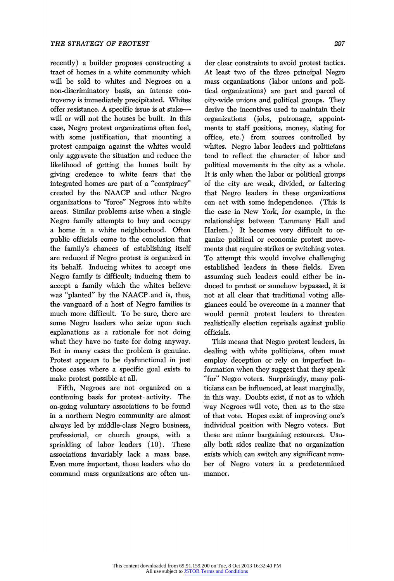**recently) a builder proposes constructing a tract of homes in a white community which will be sold to whites and Negroes on a non-discriminatory basis, an intense controversy is immediately precipitated. Whites offer resistance. A specific issue is at stakewill or will not the houses be built. In this case, Negro protest organizations often feel, with some justification, that mounting a protest campaign against the whites would only aggravate the situation and reduce the likelihood of getting the homes built by giving credence to white fears that the integrated homes are part of a "conspiracy" created by the NAACP and other Negro organizations to "force" Negroes into white areas. Similar problems arise when a single Negro family attempts to buy and occupy a home in a white neighborhood. Often public officials come to the conclusion that the family's chances of establishing itself are reduced if Negro protest is organized in its behalf. Inducing whites to accept one Negro family is difficult; inducing them to accept a family which the whites believe was "planted" by the NAACP and is, thus, the vanguard of a host of Negro families is much more difficult. To be sure, there are some Negro leaders who seize upon such explanations as a rationale for not doing what they have no taste for doing anyway. But in many cases the problem is genuine. Protest appears to be dysfunctional in just those cases where a specific goal exists to make protest possible at all.** 

**Fifth, Negroes are not organized on a continuing basis for protest activity. The on-going voluntary associations to be found in a northern Negro community are almost always led by middle-class Negro business, professional, or church groups, with a sprinkling of labor leaders (10). These associations invariably lack a mass base. Even more important, those leaders who do command mass organizations are often un-**

**der clear constraints to avoid protest tactics. At least two of the three principal Negro mass organizations (labor unions and political organizations) are part and parcel of city-wide unions and political groups. They derive the incentives used to maintain their organizations (jobs, patronage, appointments to staff positions, money, slating for office, etc.) from sources controlled by whites. Negro labor leaders and politicians tend to reflect the character of labor and political movements in the city as a whole. It is only when the labor or political groups of the city are weak, divided, or faltering that Negro leaders in these organizations can act with some independence. (This is the case in New York, for example, in the relationships between Tammany Hall and Harlem.) It becomes very difficult to organize political or economic protest movements that require strikes or switching votes. To attempt this would involve challenging established leaders in these fields. Even assuming such leaders could either be induced to protest or somehow bypassed, it is not at all clear that traditional voting allegiances could be overcome in a manner that would permit protest leaders to threaten realistically election reprisals against public officials.** 

**This means that Negro protest leaders, in dealing with white politicians, often must employ deception or rely on imperfect information when they suggest that they speak "for" Negro voters. Surprisingly, many politicians can be influenced, at least marginally, in this way. Doubts exist, if not as to which way Negroes will vote, then as to the size of that vote. Hopes exist of improving one's individual position with Negro voters. But these are minor bargaining resources. Usually both sides realize that no organization exists which can switch any significant number of Negro voters in a predetermined manner.**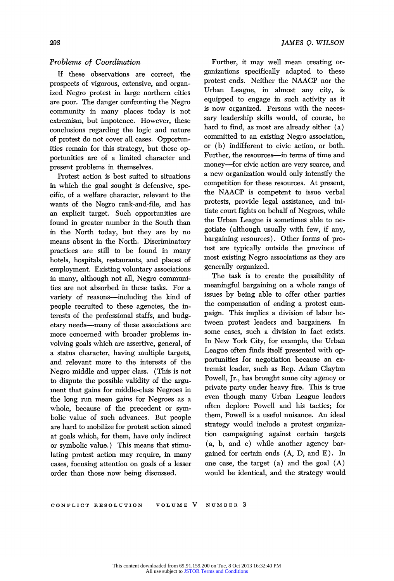## **Problems of Coordination**

**If these observations are correct, the prospects of vigorous, extensive, and organized Negro protest in large northern cities are poor. The danger confronting the Negro community in many places today is not extremism, but impotence. However, these conclusions regarding the logic and nature of protest do not cover all cases. Opportunities remain for this strategy, but these opportunities are of a limited character and present problems in themselves.** 

**Protest action is best suited to situations in which the goal sought is defensive, specific, of a welfare character, relevant to the wants of the Negro rank-and-file, and has an explicit target. Such opportunities are found in greater number in the South than in the North today, but they are by no means absent in the North. Discriminatory practices are still to be found in many hotels, hospitals, restaurants, and places of employment. Existing voluntary associations in many, although not all, Negro communities are not absorbed in these tasks. For a variety of reasons-including the kind of people recruited to these agencies, the interests of the professional staffs, and budgetary needs-many of these associations are more concerned with broader problems involving goals which are assertive, general, of a status character, having multiple targets, and relevant more to the interests of the Negro middle and upper class. (This is not to dispute the possible validity of the argument that gains for middle-class Negroes in the long run mean gains for Negroes as a whole, because of the precedent or symbolic value of such advances. But people are hard to mobilize for protest action aimed at goals which, for them, have only indirect or symbolic value.) This means that stimulating protest action may require, in many cases, focusing attention on goals of a lesser order than those now being discussed.** 

**Further, it may well mean creating organizations specifically adapted to these protest ends. Neither the NAACP nor the Urban League, in almost any city, is equipped to engage in such activity as it is now organized. Persons with the necessary leadership skills would, of course, be hard to find, as most are already either (a) committed to an existing Negro association, or (b) indifferent to civic action, or both.**  Further, the resources-in terms of time and **money-for civic action are very scarce, and a new organization would only intensify the competition for these resources. At present, the NAACP is competent to issue verbal protests, provide legal assistance, and initiate court fights on behalf of Negroes, while the Urban League is sometimes able to negotiate (although usually with few, if any, bargaining resources). Other forms of protest are typically outside the province of most existing Negro associations as they are generally organized.** 

**The task is to create the possibility of meaningful bargaining on a whole range of issues by being able to offer other parties the compensation of ending a protest campaign. This implies a division of labor between protest leaders and bargainers. In some cases, such a division in fact exists. In New York City, for example, the Urban League often finds itself presented with opportunities for negotiation because an extremist leader, such as Rep. Adam Clayton Powell, Jr., has brought some city agency or private party under heavy fire. This is true even though many Urban League leaders often deplore Powell and his tactics; for them, Powell is a useful nuisance. An ideal strategy would include a protest organization campaigning against certain targets (a, b, and c) while another agency bargained for certain ends (A, D, and E). In one case, the target (a) and the goal (A) would be identical, and the strategy would**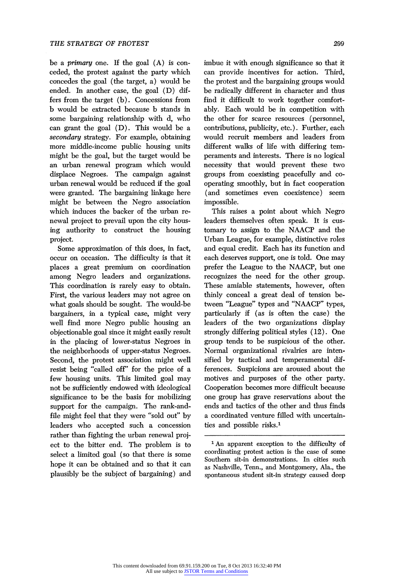**be a primary one. If the goal (A) is conceded, the protest against the party which concedes the goal (the target, a) would be ended. In another case, the goal (D) differs from the target (b). Concessions from b would be extracted because b stands in some bargaining relationship with d, who can grant the goal (D). This would be a secondary strategy. For example, obtaining more middle-income public housing units might be the goal, but the target would be an urban renewal program which would displace Negroes. The campaign against urban renewal would be reduced if the goal were granted. The bargaining linkage here might be between the Negro association which induces the backer of the urban renewal project to prevail upon the city housing authority to construct the housing project.** 

**Some approximation of this does, in fact, occur on occasion. The difficulty is that it places a great premium on coordination among Negro leaders and organizations. This coordination is rarely easy to obtain. First, the various leaders may not agree on what goals should be sought. The would-be bargainers, in a typical case, might very well find more Negro public housing an objectionable goal since it might easily result in the placing of lower-status Negroes in the neighborhoods of upper-status Negroes. Second, the protest association might well resist being "called off" for the price of a few housing units. This limited goal may not be sufficiently endowed with ideological significance to be the basis for mobilizing support for the campaign. The rank-andfile might feel that they were "sold out" by leaders who accepted such a concession rather than fighting the urban renewal project to the bitter end. The problem is to select a limited goal (so that there is some hope it can be obtained and so that it can plausibly be the subject of bargaining) and**  **imbue it with enough significance so that it can provide incentives for action. Third, the protest and the bargaining groups would be radically different in character and thus find it difficult to work together comfortably. Each would be in competition with the other for scarce resources (personnel, contributions, publicity, etc.). Further, each would recruit members and leaders from different walks of life with differing temperaments and interests. There is no logical necessity that would prevent these twvo groups from coexisting peacefully and cooperating smoothly, but in fact cooperation (and sometimes even coexistence) seem impossible.** 

**This raises a point about which Negro leaders themselves often speak. It is customary to assign to the NAACP and the Urban League, for example, distinctive roles and equal credit. Each has its function and each deserves support, one is told. One may prefer the League to the NAACP, but one recognizes the need for the other group. These amiable statements, however, often thinly conceal a great deal of tension between "League" types and "NAACP" types, particularly if (as is often the case) the leaders of the two organizations display strongly differing political styles (12). One group tends to be suspicious of the other. Normal organizational rivalries are intensified by tactical and temperamental differences. Suspicions are aroused about the motives and purposes of the other party. Cooperation becomes more difficult because one group has grave reservations about the ends and tactics of the other and thus finds a coordinated venture filled with uncertainties and possible risks.'** 

**<sup>1</sup> An apparent exception to the difficulty of coordinating protest action is the case of some Southern sit-in demonstrations. In cities such as Nashville, Tenn., and Montgomery, Ala., the spontaneous student sit-in strategy caused deep**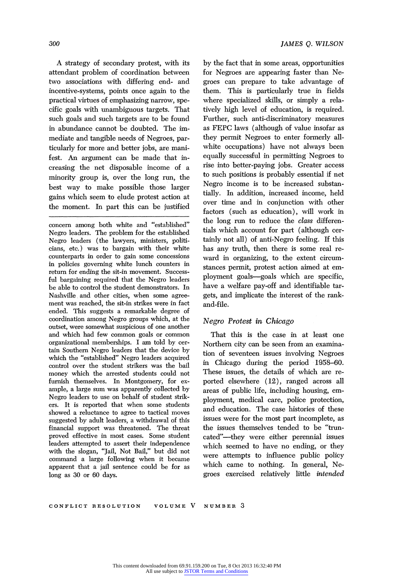**A strategy of secondary protest, with its attendant problem of coordination between two associations with differing end- and incentive-systems, points once again to the practical virtues of emphasizing narrow, specific goals with unambiguous targets. That such goals and such targets are to be found in abundance cannot be doubted. The immediate and tangible needs of Negroes, particularly for more and better jobs, are mani-**

**fest. An argument can be made that increasing the net disposable income of a minority group is, over the long run, the best way to make possible those larger gains which seem to elude protest action at the moment. In part this can be justified** 

**concern among both white and "established" Negro leaders. The problem for the established Negro leaders (the lawyers, ministers, politicians, etc.) was to bargain with their white counterparts in order to gain some concessions in policies governing white lunch counters in return for ending the sit-in movement. Successful bargaining required that the Negro leaders be able to control the student demonstrators. In Nashville and other cities, when some agreement was reached, the sit-in strikes were in fact ended. This suggests a remarkable degree of coordination among Negro groups which, at the outset, were somewhat suspicious of one another and which had few common goals or common organizational memberships. I am told by certain Southern Negro leaders that the device by which the "established" Negro leaders acquired control over the student strikers was the bail money which the arrested students could not furnish themselves. In Montgomery, for example, a large sum was apparently collected by Negro leaders to use on behalf of student strikers. It is reported that when some students showed a reluctance to agree to tactical moves suggested by adult leaders, a withdrawal of this financial support was threatened. The threat proved effective in most cases. Some student leaders attempted to assert their independence with the slogan, "Jail, Not Bail," but did not command a large following when it became apparent that a jail sentence could be for as long as 30 or 60 days.** 

**by the fact that in some areas, opportunities for Negroes are appearing faster than Negroes can prepare to take advantage of them. This is particularly true in fields where specialized skills, or simply a relatively high level of education, is required. Further, such anti-discriminatory measures as FEPC laws (although of value insofar as they permit Negroes to enter formerly allwhite occupations) have not always been equally successful in permitting Negroes to rise into better-paying jobs. Greater access to such positions is probably essential if net Negro income is to be increased substantially. In addition, increased income, held over time and in conjunction with other factors (such as education), will work in the long run to reduce the class differentials which account for part (although certainly not all) of anti-Negro feeling. If this has any truth, then there is some real reward in organizing, to the extent circumstances permit, protest action aimed at employment goals-goals which are specific, have a welfare pay-off and identifiable targets, and implicate the interest of the rankand-file.** 

# **Negro Protest in Chicago**

**That this is the case in at least one Northern city can be seen from an examination of seventeen issues involving Negroes in Chicago during the period 1958-60. These issues, the details of which are reported elsewhere (12), ranged across all areas of public life, including housing, employment, medical care, police protection, and education. The case histories of these issues were for the most part incomplete, as the issues themselves tended to be "truncated"-they were either perennial issues which seemed to have no ending, or they were attempts to influence public policy which came to nothing. In general, Negroes exercised relatively little intended** 

**CONFLICT RESOLUTION VOLUME V NUMBER 3**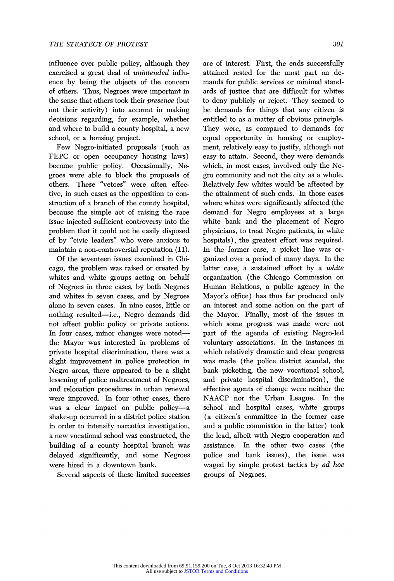**influence over public policy, although they exercised a great deal of unintended influence by being the objects of the concern of others. Thus, Negroes were important in the sense that others took their presence (but not their activity) into account in making decisions regarding, for example, whether and where to build a county hospital, a new school, or a housing project.** 

**Few Negro-initiated proposals (such as FEPC or open occupancy housing laws) become public policy. Occasionally, Negroes were able to block the proposals of others. These "vetoes" were often effective, in such cases as the opposition to construction of a branch of the county hospital, because the simple act of raising the race issue injected sufficient controversy into the problem that it could not be easily disposed of by "civic leaders" who were anxious to maintain a non-controversial reputation (11).** 

**Of the seventeen issues examined in Chicago, the problem was raised or created by whites and white groups acting on behalf of Negroes in three cases, by both Negroes and whites in seven cases, and by Negroes alone in seven cases. In nine cases, little or nothing resulted-i.e., Negro demands did not affect public policy or private actions. In four cases, minor changes were notedthe Mayor was interested in problems of private hospital discrimination, there was a slight improvement in police protection in Negro areas, there appeared to be a slight lessening of police maltreatment of Negroes, and relocation procedures in urban renewal were improved. In four other cases, there was a clear impact on public policy-a shake-up occurred in a district police station in order to intensify narcotics investigation, a new vocational school was constructed, the building of a county hospital branch was delayed significantly, and some Negroes were hired in a downtown bank.** 

**Several aspects of these limited successes** 

**are of interest. First, the ends successfully attained rested for the most part on demands for public services or minimal standards of justice that are difficult for whites to deny publicly or reject. They seemed to be demands for things that any citizen is entitled to as a matter of obvious principle. They were, as compared to demands for equal opportunity in housing or employment, relatively easy to justify, although not easy to attain. Second, they were demands which, in most cases, involved only the Negro community and not the city as a whole. Relatively few whites would be affected by the attainment of such ends. In those cases where whites were significantly affected (the demand for Negro employees at a large white bank and the placement of Negro physicians, to treat Negro patients, in white hospitals), the greatest effort was required. In the former case, a picket line was organized over a period of many days. In the latter case, a sustained effort by a white organization (the Chicago Commission on Human Relations, a public agency in the Mayor's office) has thus far produced only an interest and some action on the part of the Mayor. Finally, most of the issues in which some progress was made were not part of the agenda of existing Negro-led voluntary associations. In the instances in which relatively dramatic and clear progress was made (the police district scandal, the bank picketing, the new vocational school, and private hospital discrimination), the effective agents of change were neither the NAACP nor the Urban League. In the school and hospital cases, white groups (a citizen's committee in the former case and a public commission in the latter) took the lead, albeit with Negro cooperation and assistance. In the other two cases (the police and bank issues), the issue was waged by simple protest tactics by ad hoc groups of Negroes.**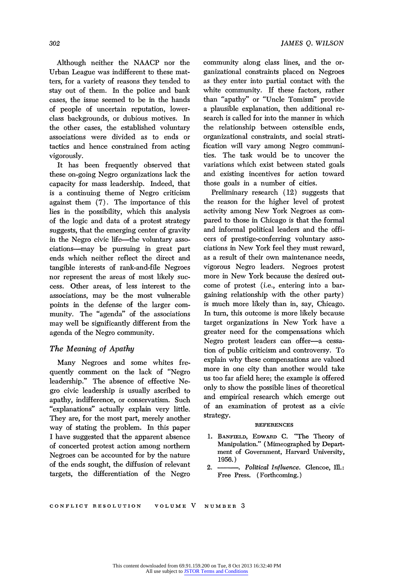**Although neither the NAACP nor the Urban League was indifferent to these matters, for a variety of reasons they tended to stay out of them. In the police and bank cases, the issue seemed to be in the hands of people of uncertain reputation, lowerclass backgrounds, or dubious motives. In the other cases, the established voluntary associations were divided as to ends or tactics and hence constrained from acting vigorously.** 

**It has been frequently observed that these on-going Negro organizations lack the capacity for mass leadership. Indeed, that is a continuing theme of Negro criticism against them (7). The importance of this lies in the possibility, which this analysis of the logic and data of a protest strategy suggests, that the emerging center of gravity in the Negro civic life-the voluntary associations-may be pursuing in great part ends which neither reflect the direct and tangible interests of rank-and-file Negroes nor represent the areas of most likely success. Other areas, of less interest to the associations, may be the most vulnerable points in the defense of the larger community. The "agenda" of the associations may well be significantly different from the agenda of the Negro community.** 

# **The Meaning of Apathy**

**Many Negroes and some whites frequently comment on the lack of "Negro leadership." The absence of effective Negro civic leadership is usually ascribed to apathy, indifference, or conservatism. Such "explanations" actually explain very little. They are, for the most part, merely another way of stating the problem. In this paper I have suggested that the apparent absence of concerted protest action among northern Negroes can be accounted for by the nature of the ends sought, the diffusion of relevant targets, the differentiation of the Negro**  **community along class lines, and the organizational constraints placed on Negroes as they enter into partial contact with the white community. If these factors, rather than "apathy" or "Uncle Tomism" provide a plausible explanation, then additional research is called for into the manner in which the relationship between ostensible ends, organizational constraints, and social stratification will vary among Negro communities. The task would be to uncover the variations which exist between stated goals and existing incentives for action toward those goals in a number of cities.** 

**Preliminary research (12) suggests that the reason for the higher level of protest activity among New York Negroes as compared to those in Chicago is that the formal and informal political leaders and the officers of prestige-conferring voluntary associations in New York feel they must reward, as a result of their own maintenance needs, vigorous Negro leaders. Negroes protest more in New York because the desired outcome of protest (i.e., entering into a bargaining relationship with the other party) is much more likely than in, say, Chicago. In turn, this outcome is more likely because target organizations in New York have a greater need for the compensations which**  Negro protest leaders can offer-a cessa**tion of public criticism and controversy. To explain why these compensations are valued more in one city than another would take us too far afield here; the example is offered only to show the possible lines of theoretical and empirical research which emerge out of an examination of protest as a civic strategy.** 

## **REFERENCES**

- **1. BANFIELD, EDwARD C. "The Theory of Manipulation." (Mimeographed by Department of Government, Harvard University, 1956.)**
- **2. . Political Influence. Glencoe, Ill.: Free Press. (Forthcoming.)**

**CONFLICT RESOLUTION VOLUME V NUMBER 3**